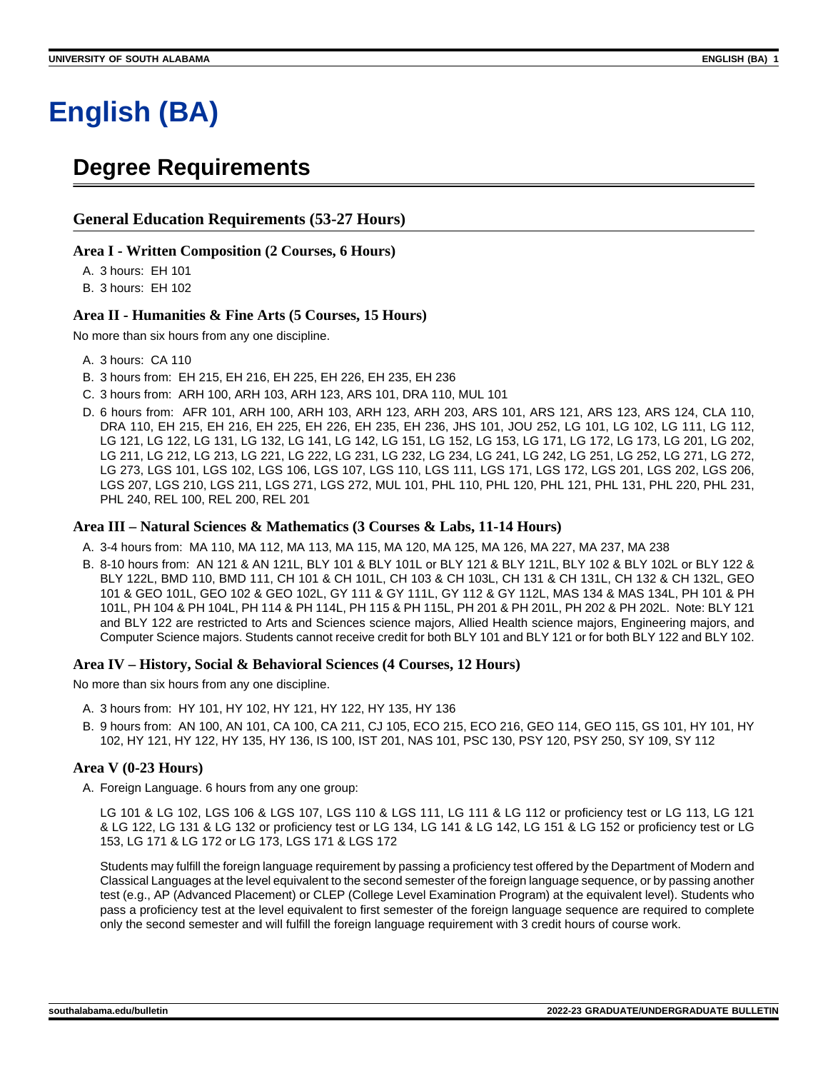# **English (BA)**

## **Degree Requirements**

## **General Education Requirements (53-27 Hours)**

#### **Area I - Written Composition (2 Courses, 6 Hours)**

A. 3 hours: EH 101

B. 3 hours: EH 102

#### **Area II - Humanities & Fine Arts (5 Courses, 15 Hours)**

No more than six hours from any one discipline.

- A. 3 hours: CA 110
- B. 3 hours from: EH 215, EH 216, EH 225, EH 226, EH 235, EH 236
- C. 3 hours from: ARH 100, ARH 103, ARH 123, ARS 101, DRA 110, MUL 101
- D. 6 hours from: AFR 101, ARH 100, ARH 103, ARH 123, ARH 203, ARS 101, ARS 121, ARS 123, ARS 124, CLA 110, DRA 110, EH 215, EH 216, EH 225, EH 226, EH 235, EH 236, JHS 101, JOU 252, LG 101, LG 102, LG 111, LG 112, LG 121, LG 122, LG 131, LG 132, LG 141, LG 142, LG 151, LG 152, LG 153, LG 171, LG 172, LG 173, LG 201, LG 202, LG 211, LG 212, LG 213, LG 221, LG 222, LG 231, LG 232, LG 234, LG 241, LG 242, LG 251, LG 252, LG 271, LG 272, LG 273, LGS 101, LGS 102, LGS 106, LGS 107, LGS 110, LGS 111, LGS 171, LGS 172, LGS 201, LGS 202, LGS 206, LGS 207, LGS 210, LGS 211, LGS 271, LGS 272, MUL 101, PHL 110, PHL 120, PHL 121, PHL 131, PHL 220, PHL 231, PHL 240, REL 100, REL 200, REL 201

#### **Area III – Natural Sciences & Mathematics (3 Courses & Labs, 11-14 Hours)**

- A. 3-4 hours from: MA 110, MA 112, MA 113, MA 115, MA 120, MA 125, MA 126, MA 227, MA 237, MA 238
- B. 8-10 hours from: AN 121 & AN 121L, BLY 101 & BLY 101L or BLY 121 & BLY 121L, BLY 102 & BLY 102L or BLY 122 & BLY 122L, BMD 110, BMD 111, CH 101 & CH 101L, CH 103 & CH 103L, CH 131 & CH 131L, CH 132 & CH 132L, GEO 101 & GEO 101L, GEO 102 & GEO 102L, GY 111 & GY 111L, GY 112 & GY 112L, MAS 134 & MAS 134L, PH 101 & PH 101L, PH 104 & PH 104L, PH 114 & PH 114L, PH 115 & PH 115L, PH 201 & PH 201L, PH 202 & PH 202L. Note: BLY 121 and BLY 122 are restricted to Arts and Sciences science majors, Allied Health science majors, Engineering majors, and Computer Science majors. Students cannot receive credit for both BLY 101 and BLY 121 or for both BLY 122 and BLY 102.

#### **Area IV – History, Social & Behavioral Sciences (4 Courses, 12 Hours)**

No more than six hours from any one discipline.

- A. 3 hours from: HY 101, HY 102, HY 121, HY 122, HY 135, HY 136
- B. 9 hours from: AN 100, AN 101, CA 100, CA 211, CJ 105, ECO 215, ECO 216, GEO 114, GEO 115, GS 101, HY 101, HY 102, HY 121, HY 122, HY 135, HY 136, IS 100, IST 201, NAS 101, PSC 130, PSY 120, PSY 250, SY 109, SY 112

#### **Area V (0-23 Hours)**

A. Foreign Language. 6 hours from any one group:

LG 101 & LG 102, LGS 106 & LGS 107, LGS 110 & LGS 111, LG 111 & LG 112 or proficiency test or LG 113, LG 121 & LG 122, LG 131 & LG 132 or proficiency test or LG 134, LG 141 & LG 142, LG 151 & LG 152 or proficiency test or LG 153, LG 171 & LG 172 or LG 173, LGS 171 & LGS 172

Students may fulfill the foreign language requirement by passing a proficiency test offered by the Department of Modern and Classical Languages at the level equivalent to the second semester of the foreign language sequence, or by passing another test (e.g., AP (Advanced Placement) or CLEP (College Level Examination Program) at the equivalent level). Students who pass a proficiency test at the level equivalent to first semester of the foreign language sequence are required to complete only the second semester and will fulfill the foreign language requirement with 3 credit hours of course work.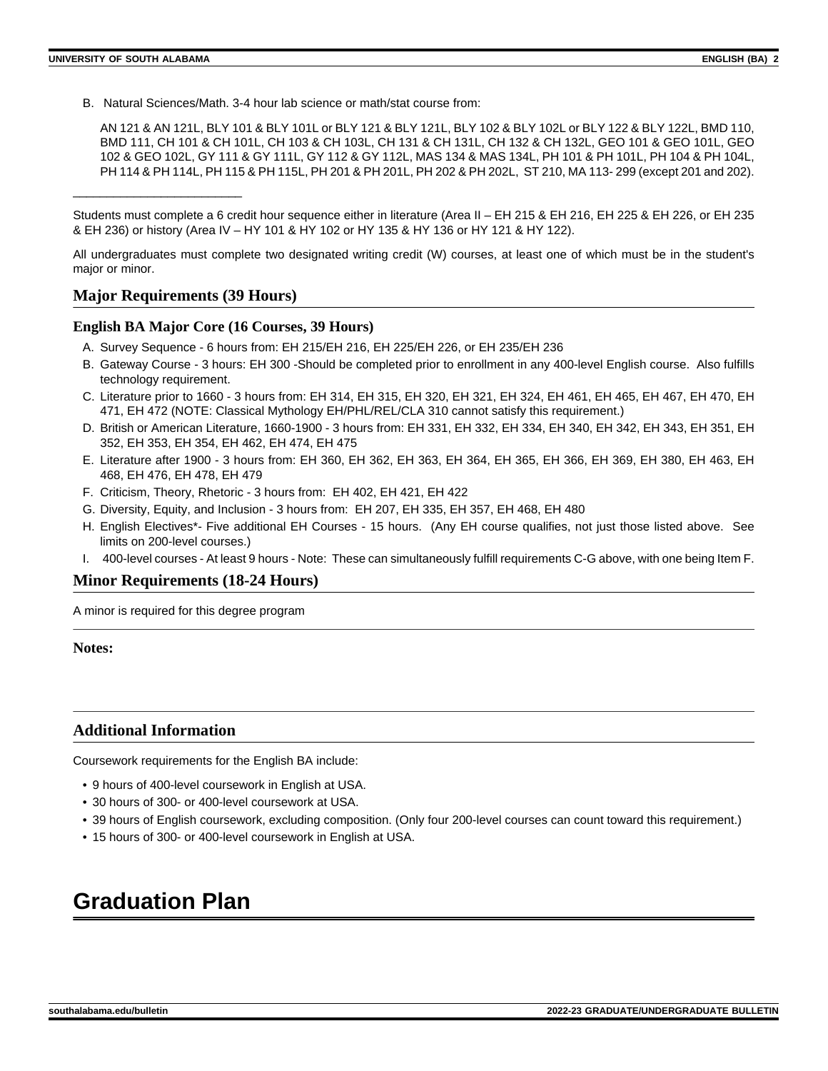B. Natural Sciences/Math. 3-4 hour lab science or math/stat course from:

AN 121 & AN 121L, BLY 101 & BLY 101L or BLY 121 & BLY 121L, BLY 102 & BLY 102L or BLY 122 & BLY 122L, BMD 110, BMD 111, CH 101 & CH 101L, CH 103 & CH 103L, CH 131 & CH 131L, CH 132 & CH 132L, GEO 101 & GEO 101L, GEO 102 & GEO 102L, GY 111 & GY 111L, GY 112 & GY 112L, MAS 134 & MAS 134L, PH 101 & PH 101L, PH 104 & PH 104L, PH 114 & PH 114L, PH 115 & PH 115L, PH 201 & PH 201L, PH 202 & PH 202L, ST 210, MA 113-299 (except 201 and 202).

Students must complete a 6 credit hour sequence either in literature (Area II – EH 215 & EH 216, EH 225 & EH 226, or EH 235 & EH 236) or history (Area IV – HY 101 & HY 102 or HY 135 & HY 136 or HY 121 & HY 122).

All undergraduates must complete two designated writing credit (W) courses, at least one of which must be in the student's major or minor.

## **Major Requirements (39 Hours)**

\_\_\_\_\_\_\_\_\_\_\_\_\_\_\_\_\_\_\_\_\_\_\_\_\_

#### **English BA Major Core (16 Courses, 39 Hours)**

- A. Survey Sequence 6 hours from: EH 215/EH 216, EH 225/EH 226, or EH 235/EH 236
- B. Gateway Course 3 hours: EH 300 -Should be completed prior to enrollment in any 400-level English course. Also fulfills technology requirement.
- C. Literature prior to 1660 3 hours from: EH 314, EH 315, EH 320, EH 321, EH 324, EH 461, EH 465, EH 467, EH 470, EH 471, EH 472 (NOTE: Classical Mythology EH/PHL/REL/CLA 310 cannot satisfy this requirement.)
- D. British or American Literature, 1660-1900 3 hours from: EH 331, EH 332, EH 334, EH 340, EH 342, EH 343, EH 351, EH 352, EH 353, EH 354, EH 462, EH 474, EH 475
- E. Literature after 1900 3 hours from: EH 360, EH 362, EH 363, EH 364, EH 365, EH 366, EH 369, EH 380, EH 463, EH 468, EH 476, EH 478, EH 479
- F. Criticism, Theory, Rhetoric 3 hours from: EH 402, EH 421, EH 422
- G. Diversity, Equity, and Inclusion 3 hours from: EH 207, EH 335, EH 357, EH 468, EH 480
- H. English Electives\*- Five additional EH Courses 15 hours. (Any EH course qualifies, not just those listed above. See limits on 200-level courses.)
- I. 400-level courses At least 9 hours Note: These can simultaneously fulfill requirements C-G above, with one being Item F.

## **Minor Requirements (18-24 Hours)**

A minor is required for this degree program

**Notes:**

## **Additional Information**

Coursework requirements for the English BA include:

- 9 hours of 400-level coursework in English at USA.
- 30 hours of 300- or 400-level coursework at USA.
- 39 hours of English coursework, excluding composition. (Only four 200-level courses can count toward this requirement.)
- 15 hours of 300- or 400-level coursework in English at USA.

## **Graduation Plan**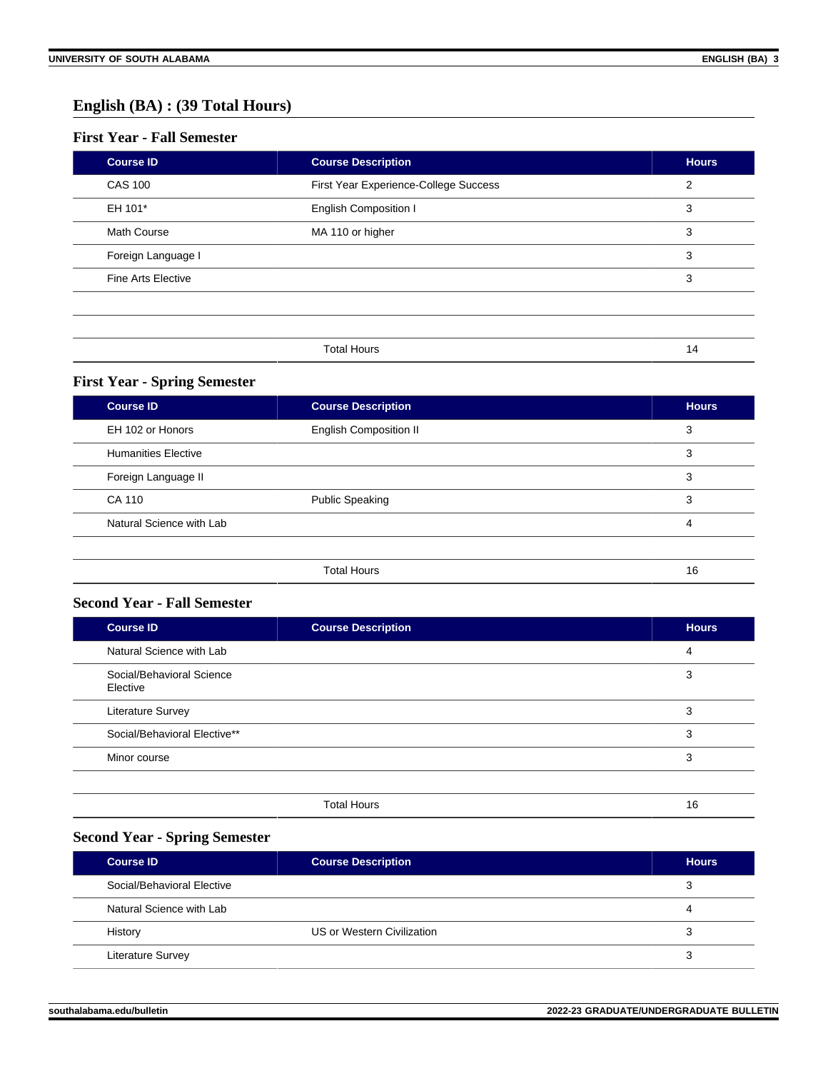## **English (BA) : (39 Total Hours)**

## **First Year - Fall Semester**

| <b>Course ID</b>          | <b>Course Description</b>             | <b>Hours</b> |
|---------------------------|---------------------------------------|--------------|
| <b>CAS 100</b>            | First Year Experience-College Success | 2            |
| EH 101*                   | <b>English Composition I</b>          | 3            |
| <b>Math Course</b>        | MA 110 or higher                      | 3            |
| Foreign Language I        |                                       | 3            |
| <b>Fine Arts Elective</b> |                                       | 3            |
|                           |                                       |              |
|                           |                                       |              |
|                           | <b>Total Hours</b>                    | 14           |

## **First Year - Spring Semester**

| <b>Course ID</b>           | <b>Course Description</b>     | <b>Hours</b> |
|----------------------------|-------------------------------|--------------|
| EH 102 or Honors           | <b>English Composition II</b> | 3            |
| <b>Humanities Elective</b> |                               | 3            |
| Foreign Language II        |                               | 3            |
| CA 110                     | <b>Public Speaking</b>        | 3            |
| Natural Science with Lab   |                               | 4            |
|                            |                               |              |
|                            | <b>Total Hours</b>            | 16           |

## **Second Year - Fall Semester**

| <b>Course ID</b>                      | <b>Course Description</b> | <b>Hours</b> |
|---------------------------------------|---------------------------|--------------|
| Natural Science with Lab              |                           | 4            |
| Social/Behavioral Science<br>Elective |                           | 3            |
| Literature Survey                     |                           | 3            |
| Social/Behavioral Elective**          |                           | 3            |
| Minor course                          |                           | 3            |
|                                       |                           |              |
|                                       |                           |              |

## Total Hours 16

## **Second Year - Spring Semester**

| <b>Course ID</b>           | <b>Course Description</b>  | <b>Hours</b> |
|----------------------------|----------------------------|--------------|
| Social/Behavioral Elective |                            | 3            |
| Natural Science with Lab   |                            |              |
| History                    | US or Western Civilization |              |
| <b>Literature Survey</b>   |                            |              |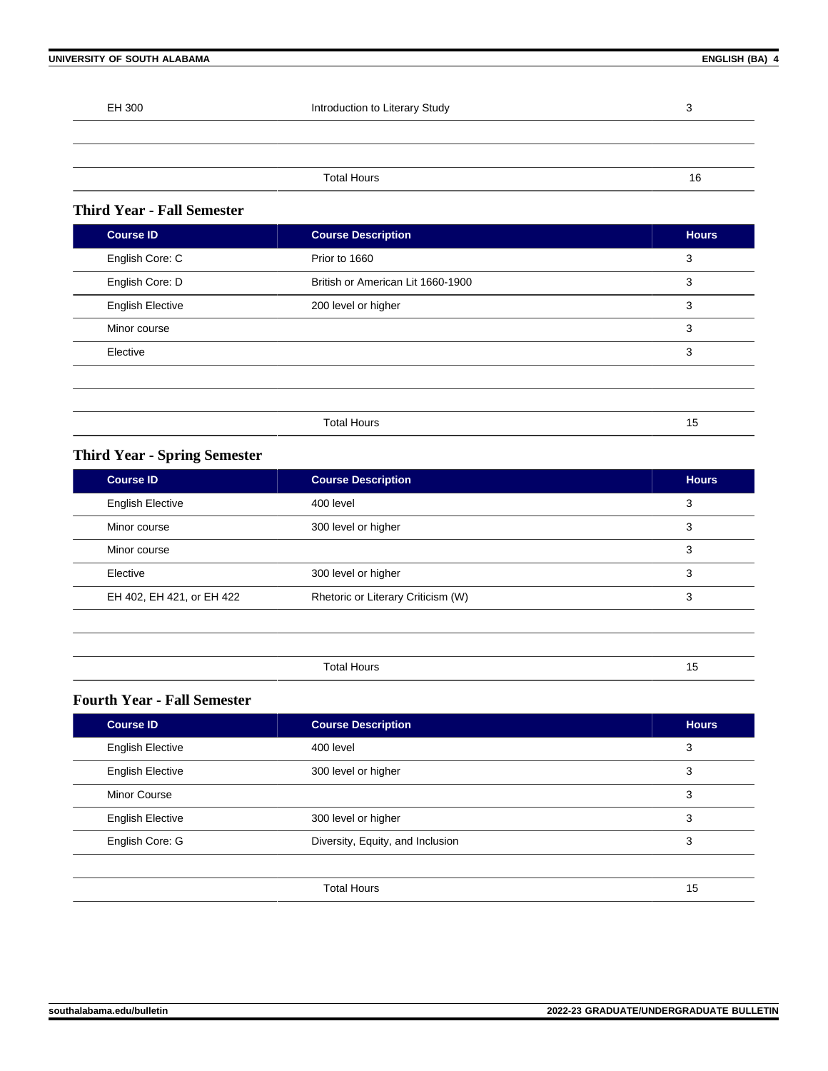| UNIVERSITY OF SOUTH ALABAMA |                                | ENGLISH (BA) 4 |
|-----------------------------|--------------------------------|----------------|
|                             |                                |                |
| EH 300                      | Introduction to Literary Study | 3              |
|                             |                                |                |
|                             |                                |                |
|                             | <b>Total Hours</b>             | 16             |

## **Third Year - Fall Semester**

| <b>Course ID</b>        | <b>Course Description</b>         | <b>Hours</b> |
|-------------------------|-----------------------------------|--------------|
| English Core: C         | Prior to 1660                     | 3            |
| English Core: D         | British or American Lit 1660-1900 | 3            |
| <b>English Elective</b> | 200 level or higher               | 3            |
| Minor course            |                                   | 3            |
| Elective                |                                   | 3            |
|                         |                                   |              |
|                         |                                   |              |
|                         | <b>Total Hours</b>                | 15           |

## **Third Year - Spring Semester**

| <b>Course ID</b>          | <b>Course Description</b>          | <b>Hours</b> |
|---------------------------|------------------------------------|--------------|
| <b>English Elective</b>   | 400 level                          | 3            |
| Minor course              | 300 level or higher                | 3            |
| Minor course              |                                    | 3            |
| Elective                  | 300 level or higher                | 3            |
| EH 402, EH 421, or EH 422 | Rhetoric or Literary Criticism (W) | 3            |
|                           |                                    |              |

| `H<br>- - - |  |
|-------------|--|

## **Fourth Year - Fall Semester**

| <b>Course ID</b>        | <b>Course Description</b>        | <b>Hours</b> |
|-------------------------|----------------------------------|--------------|
| <b>English Elective</b> | 400 level                        | 3            |
| <b>English Elective</b> | 300 level or higher              | 3            |
| <b>Minor Course</b>     |                                  | 3            |
| <b>English Elective</b> | 300 level or higher              | 3            |
| English Core: G         | Diversity, Equity, and Inclusion | 3            |
|                         |                                  |              |
|                         | <b>Total Hours</b>               | 15           |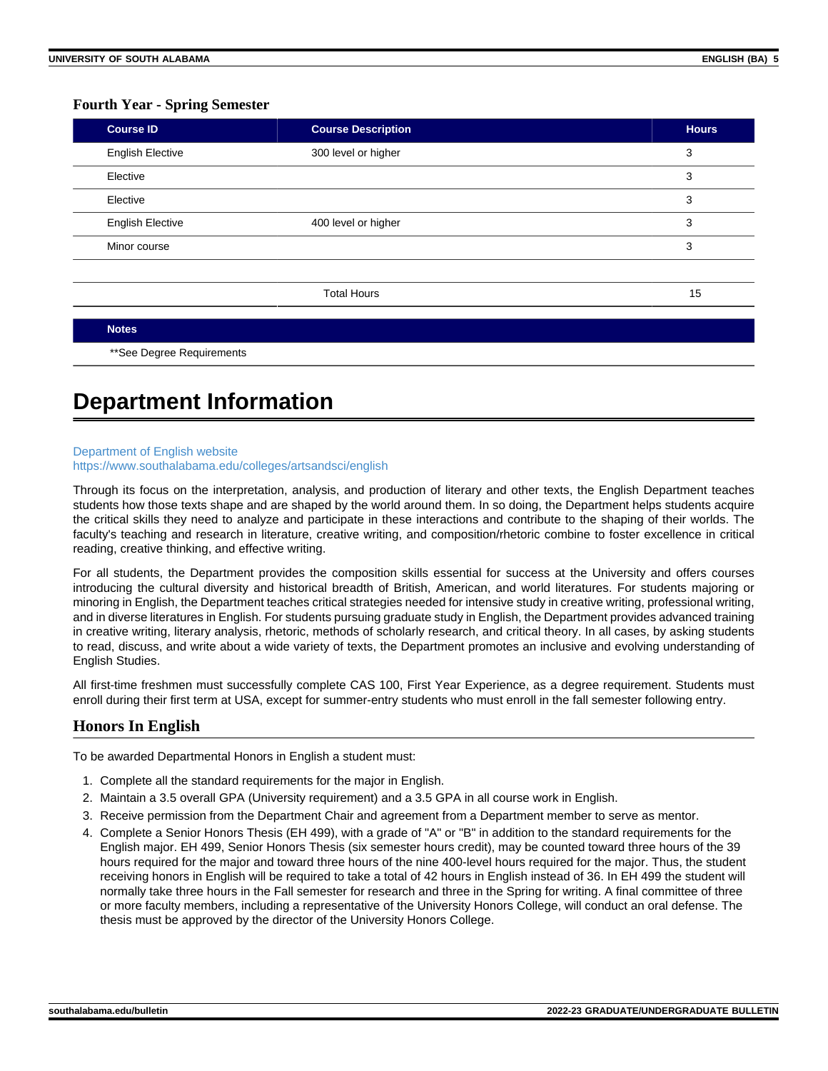#### **Fourth Year - Spring Semester**

| <b>Course ID</b>        | <b>Course Description</b> | <b>Hours</b> |
|-------------------------|---------------------------|--------------|
| <b>English Elective</b> | 300 level or higher       | 3            |
| Elective                |                           | 3            |
| Elective                |                           | 3            |
| <b>English Elective</b> | 400 level or higher       | 3            |
| Minor course            |                           | 3            |
|                         | <b>Total Hours</b>        | 15           |
| <b>Notes</b>            |                           |              |

\*\*See Degree Requirements

## **Department Information**

#### [Department of English website](https://www.southalabama.edu/colleges/artsandsci/english)

#### <https://www.southalabama.edu/colleges/artsandsci/english>

Through its focus on the interpretation, analysis, and production of literary and other texts, the English Department teaches students how those texts shape and are shaped by the world around them. In so doing, the Department helps students acquire the critical skills they need to analyze and participate in these interactions and contribute to the shaping of their worlds. The faculty's teaching and research in literature, creative writing, and composition/rhetoric combine to foster excellence in critical reading, creative thinking, and effective writing.

For all students, the Department provides the composition skills essential for success at the University and offers courses introducing the cultural diversity and historical breadth of British, American, and world literatures. For students majoring or minoring in English, the Department teaches critical strategies needed for intensive study in creative writing, professional writing, and in diverse literatures in English. For students pursuing graduate study in English, the Department provides advanced training in creative writing, literary analysis, rhetoric, methods of scholarly research, and critical theory. In all cases, by asking students to read, discuss, and write about a wide variety of texts, the Department promotes an inclusive and evolving understanding of English Studies.

All first-time freshmen must successfully complete CAS 100, First Year Experience, as a degree requirement. Students must enroll during their first term at USA, except for summer-entry students who must enroll in the fall semester following entry.

## **Honors In English**

To be awarded Departmental Honors in English a student must:

- 1. Complete all the standard requirements for the major in English.
- 2. Maintain a 3.5 overall GPA (University requirement) and a 3.5 GPA in all course work in English.
- 3. Receive permission from the Department Chair and agreement from a Department member to serve as mentor.
- 4. Complete a Senior Honors Thesis (EH 499), with a grade of "A" or "B" in addition to the standard requirements for the English major. EH 499, Senior Honors Thesis (six semester hours credit), may be counted toward three hours of the 39 hours required for the major and toward three hours of the nine 400-level hours required for the major. Thus, the student receiving honors in English will be required to take a total of 42 hours in English instead of 36. In EH 499 the student will normally take three hours in the Fall semester for research and three in the Spring for writing. A final committee of three or more faculty members, including a representative of the University Honors College, will conduct an oral defense. The thesis must be approved by the director of the University Honors College.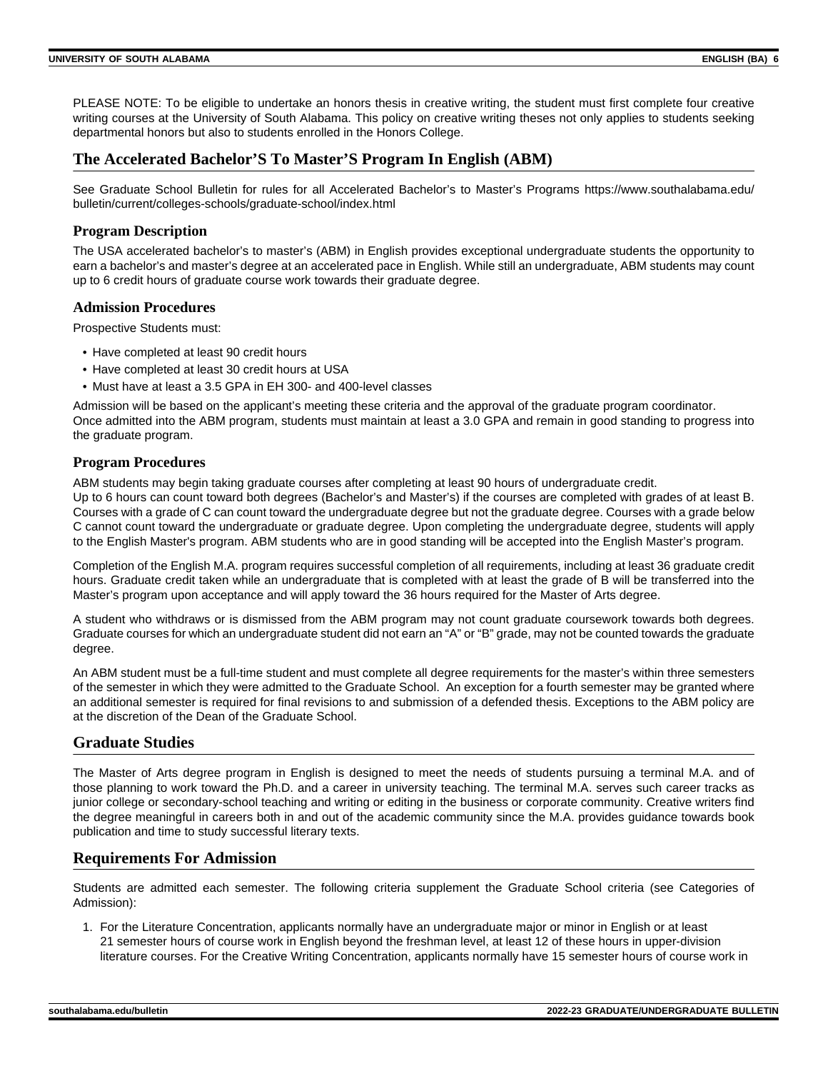PLEASE NOTE: To be eligible to undertake an honors thesis in creative writing, the student must first complete four creative writing courses at the University of South Alabama. This policy on creative writing theses not only applies to students seeking departmental honors but also to students enrolled in the Honors College.

## **The Accelerated Bachelor'S To Master'S Program In English (ABM)**

See Graduate School Bulletin for rules for all Accelerated Bachelor's to Master's Programs https://www.southalabama.edu/ bulletin/current/colleges-schools/graduate-school/index.html

## **Program Description**

The USA accelerated bachelor's to master's (ABM) in English provides exceptional undergraduate students the opportunity to earn a bachelor's and master's degree at an accelerated pace in English. While still an undergraduate, ABM students may count up to 6 credit hours of graduate course work towards their graduate degree.

## **Admission Procedures**

Prospective Students must:

- Have completed at least 90 credit hours
- Have completed at least 30 credit hours at USA
- Must have at least a 3.5 GPA in EH 300- and 400-level classes

Admission will be based on the applicant's meeting these criteria and the approval of the graduate program coordinator. Once admitted into the ABM program, students must maintain at least a 3.0 GPA and remain in good standing to progress into the graduate program.

## **Program Procedures**

ABM students may begin taking graduate courses after completing at least 90 hours of undergraduate credit.

Up to 6 hours can count toward both degrees (Bachelor's and Master's) if the courses are completed with grades of at least B. Courses with a grade of C can count toward the undergraduate degree but not the graduate degree. Courses with a grade below C cannot count toward the undergraduate or graduate degree. Upon completing the undergraduate degree, students will apply to the English Master's program. ABM students who are in good standing will be accepted into the English Master's program.

Completion of the English M.A. program requires successful completion of all requirements, including at least 36 graduate credit hours. Graduate credit taken while an undergraduate that is completed with at least the grade of B will be transferred into the Master's program upon acceptance and will apply toward the 36 hours required for the Master of Arts degree.

A student who withdraws or is dismissed from the ABM program may not count graduate coursework towards both degrees. Graduate courses for which an undergraduate student did not earn an "A" or "B" grade, may not be counted towards the graduate degree.

An ABM student must be a full-time student and must complete all degree requirements for the master's within three semesters of the semester in which they were admitted to the Graduate School. An exception for a fourth semester may be granted where an additional semester is required for final revisions to and submission of a defended thesis. Exceptions to the ABM policy are at the discretion of the Dean of the Graduate School.

## **Graduate Studies**

The Master of Arts degree program in English is designed to meet the needs of students pursuing a terminal M.A. and of those planning to work toward the Ph.D. and a career in university teaching. The terminal M.A. serves such career tracks as junior college or secondary-school teaching and writing or editing in the business or corporate community. Creative writers find the degree meaningful in careers both in and out of the academic community since the M.A. provides guidance towards book publication and time to study successful literary texts.

## **Requirements For Admission**

Students are admitted each semester. The following criteria supplement the Graduate School criteria (see Categories of Admission):

1. For the Literature Concentration, applicants normally have an undergraduate major or minor in English or at least 21 semester hours of course work in English beyond the freshman level, at least 12 of these hours in upper-division literature courses. For the Creative Writing Concentration, applicants normally have 15 semester hours of course work in